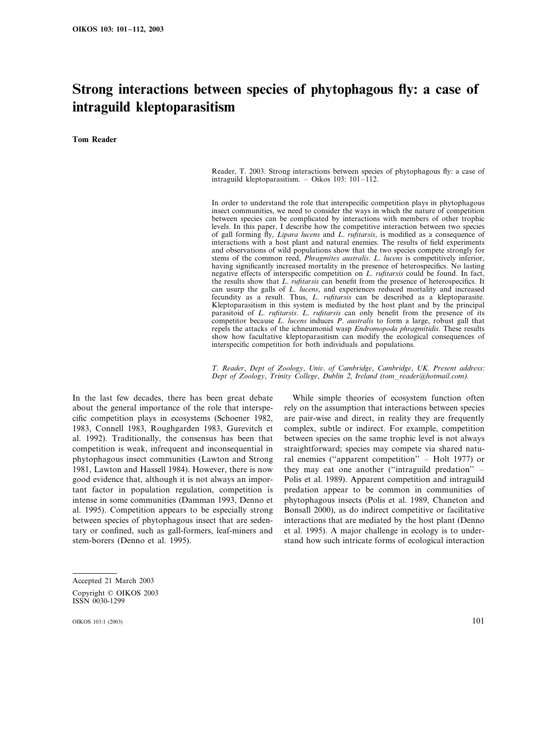# **Strong interactions between species of phytophagous fly: a case of intraguild kleptoparasitism**

**Tom Reader**

Reader, T. 2003. Strong interactions between species of phytophagous fly: a case of intraguild kleptoparasitism. – Oikos 103: 101–112.

In order to understand the role that interspecific competition plays in phytophagous insect communities, we need to consider the ways in which the nature of competition between species can be complicated by interactions with members of other trophic levels. In this paper, I describe how the competitive interaction between two species of gall forming fly, *Lipara lucens* and *L*. *rufitarsis*, is modified as a consequence of interactions with a host plant and natural enemies. The results of field experiments and observations of wild populations show that the two species compete strongly for stems of the common reed, *Phragmites australis*. *L*. *lucens* is competitively inferior, having significantly increased mortality in the presence of heterospecifics. No lasting negative effects of interspecific competition on *L*. *rufitarsis* could be found. In fact, the results show that *L*. *rufitarsis* can benefit from the presence of heterospecifics. It can usurp the galls of *L*. *lucens*, and experiences reduced mortality and increased fecundity as a result. Thus, *L*. *rufitarsis* can be described as a kleptoparasite. Kleptoparasitism in this system is mediated by the host plant and by the principal parasitoid of *L*. *rufitarsis*. *L*. *rufitarsis* can only benefit from the presence of its competitor because *L*. *lucens* induces *P*. *australis* to form a large, robust gall that repels the attacks of the ichneumonid wasp *Endromopoda phragmitidis*. These results show how facultative kleptoparasitism can modify the ecological consequences of interspecific competition for both individuals and populations.

*T*. *Reader*, *Dept of Zoology*, *Uni*. *of Cambridge*, *Cambridge*, *UK*. *Present address*: *Dept of Zoology*, *Trinity College*, *Dublin* <sup>2</sup>, *Ireland* (*tom*–*reader@hotmail*.*com*).

In the last few decades, there has been great debate about the general importance of the role that interspecific competition plays in ecosystems (Schoener 1982, 1983, Connell 1983, Roughgarden 1983, Gurevitch et al. 1992). Traditionally, the consensus has been that competition is weak, infrequent and inconsequential in phytophagous insect communities (Lawton and Strong 1981, Lawton and Hassell 1984). However, there is now good evidence that, although it is not always an important factor in population regulation, competition is intense in some communities (Damman 1993, Denno et al. 1995). Competition appears to be especially strong between species of phytophagous insect that are sedentary or confined, such as gall-formers, leaf-miners and stem-borers (Denno et al. 1995).

While simple theories of ecosystem function often rely on the assumption that interactions between species are pair-wise and direct, in reality they are frequently complex, subtle or indirect. For example, competition between species on the same trophic level is not always straightforward; species may compete via shared natural enemies (''apparent competition'' – Holt 1977) or they may eat one another (''intraguild predation'' – Polis et al. 1989). Apparent competition and intraguild predation appear to be common in communities of phytophagous insects (Polis et al. 1989, Chaneton and Bonsall 2000), as do indirect competitive or facilitative interactions that are mediated by the host plant (Denno et al. 1995). A major challenge in ecology is to understand how such intricate forms of ecological interaction

Accepted 21 March 2003 Copyright © OIKOS 2003 ISSN 0030-1299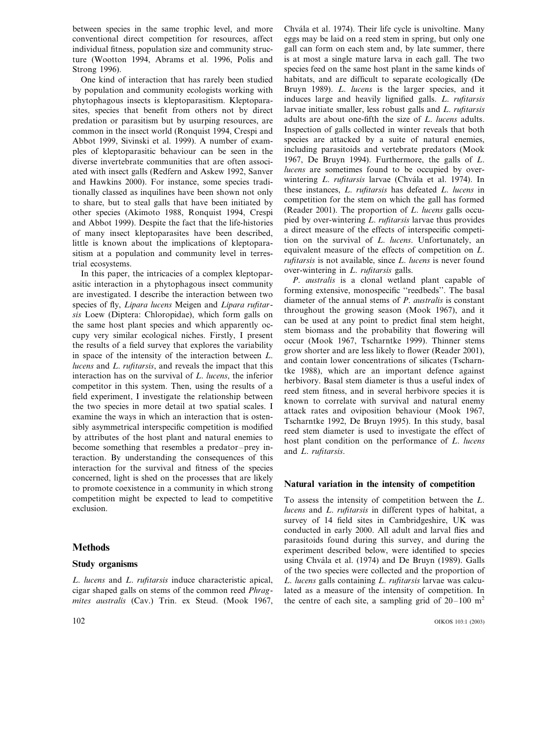between species in the same trophic level, and more conventional direct competition for resources, affect individual fitness, population size and community structure (Wootton 1994, Abrams et al. 1996, Polis and Strong 1996).

One kind of interaction that has rarely been studied by population and community ecologists working with phytophagous insects is kleptoparasitism. Kleptoparasites, species that benefit from others not by direct predation or parasitism but by usurping resources, are common in the insect world (Ronquist 1994, Crespi and Abbot 1999, Sivinski et al. 1999). A number of examples of kleptoparasitic behaviour can be seen in the diverse invertebrate communities that are often associated with insect galls (Redfern and Askew 1992, Sanver and Hawkins 2000). For instance, some species traditionally classed as inquilines have been shown not only to share, but to steal galls that have been initiated by other species (Akimoto 1988, Ronquist 1994, Crespi and Abbot 1999). Despite the fact that the life-histories of many insect kleptoparasites have been described, little is known about the implications of kleptoparasitism at a population and community level in terrestrial ecosystems.

In this paper, the intricacies of a complex kleptoparasitic interaction in a phytophagous insect community are investigated. I describe the interaction between two species of fly, *Lipara lucens* Meigen and *Lipara rufitarsis* Loew (Diptera: Chloropidae), which form galls on the same host plant species and which apparently occupy very similar ecological niches. Firstly, I present the results of a field survey that explores the variability in space of the intensity of the interaction between *L*. *lucens* and *L*. *rufitarsis*, and reveals the impact that this interaction has on the survival of *L*. *lucens*, the inferior competitor in this system. Then, using the results of a field experiment, I investigate the relationship between the two species in more detail at two spatial scales. I examine the ways in which an interaction that is ostensibly asymmetrical interspecific competition is modified by attributes of the host plant and natural enemies to become something that resembles a predator–prey interaction. By understanding the consequences of this interaction for the survival and fitness of the species concerned, light is shed on the processes that are likely to promote coexistence in a community in which strong competition might be expected to lead to competitive exclusion.

## **Methods**

#### **Study organisms**

*L*. *lucens* and *L*. *rufitarsis* induce characteristic apical, cigar shaped galls on stems of the common reed *Phragmites australis* (Cav.) Trin. ex Steud. (Mook 1967,

Chvála et al. 1974). Their life cycle is univoltine. Many eggs may be laid on a reed stem in spring, but only one gall can form on each stem and, by late summer, there is at most a single mature larva in each gall. The two species feed on the same host plant in the same kinds of habitats, and are difficult to separate ecologically (De Bruyn 1989). *L*. *lucens* is the larger species, and it induces large and heavily lignified galls. *L*. *rufitarsis* larvae initiate smaller, less robust galls and *L*. *rufitarsis* adults are about one-fifth the size of *L*. *lucens* adults. Inspection of galls collected in winter reveals that both species are attacked by a suite of natural enemies, including parasitoids and vertebrate predators (Mook 1967, De Bruyn 1994). Furthermore, the galls of *L*. *lucens* are sometimes found to be occupied by overwintering *L. rufitarsis* larvae (Chvála et al. 1974). In these instances, *L*. *rufitarsis* has defeated *L*. *lucens* in competition for the stem on which the gall has formed (Reader 2001). The proportion of *L*. *lucens* galls occupied by over-wintering *L*. *rufitarsis* larvae thus provides a direct measure of the effects of interspecific competition on the survival of *L*. *lucens*. Unfortunately, an equivalent measure of the effects of competition on *L*. *rufitarsis* is not available, since *L*. *lucens* is never found over-wintering in *L*. *rufitarsis* galls.

*P*. *australis* is a clonal wetland plant capable of forming extensive, monospecific ''reedbeds''. The basal diameter of the annual stems of *P*. *australis* is constant throughout the growing season (Mook 1967), and it can be used at any point to predict final stem height, stem biomass and the probability that flowering will occur (Mook 1967, Tscharntke 1999). Thinner stems grow shorter and are less likely to flower (Reader 2001), and contain lower concentrations of silicates (Tscharntke 1988), which are an important defence against herbivory. Basal stem diameter is thus a useful index of reed stem fitness, and in several herbivore species it is known to correlate with survival and natural enemy attack rates and oviposition behaviour (Mook 1967, Tscharntke 1992, De Bruyn 1995). In this study, basal reed stem diameter is used to investigate the effect of host plant condition on the performance of *L*. *lucens* and *L*. *rufitarsis*.

## **Natural variation in the intensity of competition**

To assess the intensity of competition between the *L*. *lucens* and *L*. *rufitarsis* in different types of habitat, a survey of 14 field sites in Cambridgeshire, UK was conducted in early 2000. All adult and larval flies and parasitoids found during this survey, and during the experiment described below, were identified to species using Chvála et al. (1974) and De Bruyn (1989). Galls of the two species were collected and the proportion of *L*. *lucens* galls containing *L*. *rufitarsis* larvae was calculated as a measure of the intensity of competition. In the centre of each site, a sampling grid of  $20-100$  m<sup>2</sup>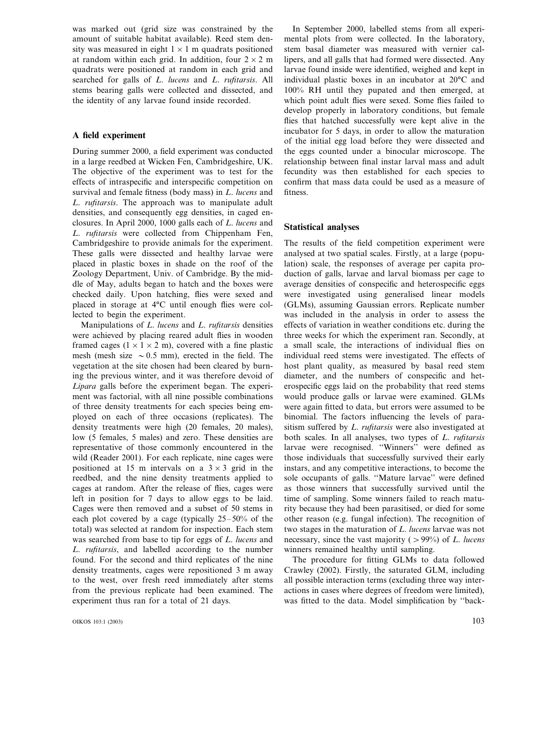was marked out (grid size was constrained by the amount of suitable habitat available). Reed stem density was measured in eight  $1 \times 1$  m quadrats positioned at random within each grid. In addition, four  $2 \times 2$  m quadrats were positioned at random in each grid and searched for galls of *L*. *lucens* and *L*. *rufitarsis*. All stems bearing galls were collected and dissected, and the identity of any larvae found inside recorded.

## **A field experiment**

During summer 2000, a field experiment was conducted in a large reedbed at Wicken Fen, Cambridgeshire, UK. The objective of the experiment was to test for the effects of intraspecific and interspecific competition on survival and female fitness (body mass) in *L*. *lucens* and *L*. *rufitarsis*. The approach was to manipulate adult densities, and consequently egg densities, in caged enclosures. In April 2000, 1000 galls each of *L*. *lucens* and *L*. *rufitarsis* were collected from Chippenham Fen, Cambridgeshire to provide animals for the experiment. These galls were dissected and healthy larvae were placed in plastic boxes in shade on the roof of the Zoology Department, Univ. of Cambridge. By the middle of May, adults began to hatch and the boxes were checked daily. Upon hatching, flies were sexed and placed in storage at 4°C until enough flies were collected to begin the experiment.

Manipulations of *L*. *lucens* and *L*. *rufitarsis* densities were achieved by placing reared adult flies in wooden framed cages  $(1 \times 1 \times 2 \text{ m})$ , covered with a fine plastic mesh (mesh size  $\sim 0.5$  mm), erected in the field. The vegetation at the site chosen had been cleared by burning the previous winter, and it was therefore devoid of *Lipara* galls before the experiment began. The experiment was factorial, with all nine possible combinations of three density treatments for each species being employed on each of three occasions (replicates). The density treatments were high (20 females, 20 males), low (5 females, 5 males) and zero. These densities are representative of those commonly encountered in the wild (Reader 2001). For each replicate, nine cages were positioned at 15 m intervals on a  $3 \times 3$  grid in the reedbed, and the nine density treatments applied to cages at random. After the release of flies, cages were left in position for 7 days to allow eggs to be laid. Cages were then removed and a subset of 50 stems in each plot covered by a cage (typically 25–50% of the total) was selected at random for inspection. Each stem was searched from base to tip for eggs of *L*. *lucens* and *L*. *rufitarsis*, and labelled according to the number found. For the second and third replicates of the nine density treatments, cages were repositioned 3 m away to the west, over fresh reed immediately after stems from the previous replicate had been examined. The experiment thus ran for a total of 21 days.

OIKOS 103:1 (2003) 103

In September 2000, labelled stems from all experimental plots from were collected. In the laboratory, stem basal diameter was measured with vernier callipers, and all galls that had formed were dissected. Any larvae found inside were identified, weighed and kept in individual plastic boxes in an incubator at 20°C and 100% RH until they pupated and then emerged, at which point adult flies were sexed. Some flies failed to develop properly in laboratory conditions, but female flies that hatched successfully were kept alive in the incubator for 5 days, in order to allow the maturation of the initial egg load before they were dissected and the eggs counted under a binocular microscope. The relationship between final instar larval mass and adult fecundity was then established for each species to confirm that mass data could be used as a measure of fitness.

#### **Statistical analyses**

The results of the field competition experiment were analysed at two spatial scales. Firstly, at a large (population) scale, the responses of average per capita production of galls, larvae and larval biomass per cage to average densities of conspecific and heterospecific eggs were investigated using generalised linear models (GLMs), assuming Gaussian errors. Replicate number was included in the analysis in order to assess the effects of variation in weather conditions etc. during the three weeks for which the experiment ran. Secondly, at a small scale, the interactions of individual flies on individual reed stems were investigated. The effects of host plant quality, as measured by basal reed stem diameter, and the numbers of conspecific and heterospecific eggs laid on the probability that reed stems would produce galls or larvae were examined. GLMs were again fitted to data, but errors were assumed to be binomial. The factors influencing the levels of parasitism suffered by *L*. *rufitarsis* were also investigated at both scales. In all analyses, two types of *L*. *rufitarsis* larvae were recognised. ''Winners'' were defined as those individuals that successfully survived their early instars, and any competitive interactions, to become the sole occupants of galls. ''Mature larvae'' were defined as those winners that successfully survived until the time of sampling. Some winners failed to reach maturity because they had been parasitised, or died for some other reason (e.g. fungal infection). The recognition of two stages in the maturation of *L*. *lucens* larvae was not necessary, since the vast majority ( $> 99\%$ ) of *L. lucens* winners remained healthy until sampling.

The procedure for fitting GLMs to data followed Crawley (2002). Firstly, the saturated GLM, including all possible interaction terms (excluding three way interactions in cases where degrees of freedom were limited), was fitted to the data. Model simplification by ''back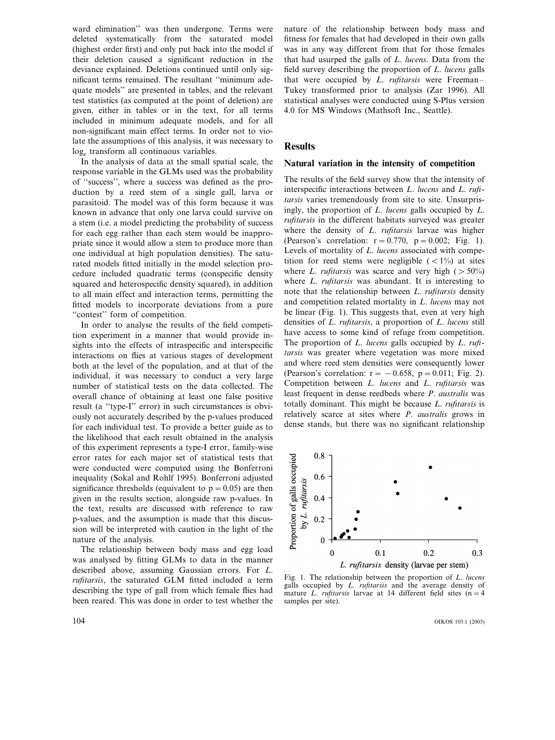ward elimination'' was then undergone. Terms were deleted systematically from the saturated model (highest order first) and only put back into the model if their deletion caused a significant reduction in the deviance explained. Deletions continued until only significant terms remained. The resultant ''minimum adequate models'' are presented in tables, and the relevant test statistics (as computed at the point of deletion) are given, either in tables or in the text, for all terms included in minimum adequate models, and for all non-significant main effect terms. In order not to violate the assumptions of this analysis, it was necessary to loge transform all continuous variables.

In the analysis of data at the small spatial scale, the response variable in the GLMs used was the probability of ''success'', where a success was defined as the production by a reed stem of a single gall, larva or parasitoid. The model was of this form because it was known in advance that only one larva could survive on a stem (i.e. a model predicting the probability of success for each egg rather than each stem would be inappropriate since it would allow a stem to produce more than one individual at high population densities). The saturated models fitted initially in the model selection procedure included quadratic terms (conspecific density squared and heterospecific density squared), in addition to all main effect and interaction terms, permitting the fitted models to incorporate deviations from a pure "contest" form of competition.

In order to analyse the results of the field competition experiment in a manner that would provide insights into the effects of intraspecific and interspecific interactions on flies at various stages of development both at the level of the population, and at that of the individual, it was necessary to conduct a very large number of statistical tests on the data collected. The overall chance of obtaining at least one false positive result (a ''type-I'' error) in such circumstances is obviously not accurately described by the p-values produced for each individual test. To provide a better guide as to the likelihood that each result obtained in the analysis of this experiment represents a type-I error, family-wise error rates for each major set of statistical tests that were conducted were computed using the Bonferroni inequality (Sokal and Rohlf 1995). Bonferroni adjusted significance thresholds (equivalent to  $p = 0.05$ ) are then given in the results section, alongside raw p-values. In the text, results are discussed with reference to raw p-values, and the assumption is made that this discussion will be interpreted with caution in the light of the nature of the analysis.

The relationship between body mass and egg load was analysed by fitting GLMs to data in the manner described above, assuming Gaussian errors. For *L*. *rufitarsis*, the saturated GLM fitted included a term describing the type of gall from which female flies had been reared. This was done in order to test whether the

nature of the relationship between body mass and fitness for females that had developed in their own galls was in any way different from that for those females that had usurped the galls of *L*. *lucens*. Data from the field survey describing the proportion of *L*. *lucens* galls that were occupied by *L*. *rufitarsis* were Freeman– Tukey transformed prior to analysis (Zar 1996). All statistical analyses were conducted using S-Plus version 4.0 for MS Windows (Mathsoft Inc., Seattle).

## **Results**

### **Natural variation in the intensity of competition**

The results of the field survey show that the intensity of interspecific interactions between *L*. *lucens* and *L*. *rufitarsis* varies tremendously from site to site. Unsurprisingly, the proportion of *L*. *lucens* galls occupied by *L*. *rufitarsis* in the different habitats surveyed was greater where the density of *L*. *rufitarsis* larvae was higher (Pearson's correlation:  $r = 0.770$ ,  $p = 0.002$ ; Fig. 1). Levels of mortality of *L*. *lucens* associated with competition for reed stems were negligible  $(< 1\%)$  at sites where *L. rufitarsis* was scarce and very high  $($  > 50%) where *L*. *rufitarsis* was abundant. It is interesting to note that the relationship between *L*. *rufitarsis* density and competition related mortality in *L*. *lucens* may not be linear (Fig. 1). This suggests that, even at very high densities of *L*. *rufitarsis*, a proportion of *L*. *lucens* still have access to some kind of refuge from competition. The proportion of *L*. *lucens* galls occupied by *L*. *rufitarsis* was greater where vegetation was more mixed and where reed stem densities were consequently lower (Pearson's correlation:  $r = -0.658$ ,  $p = 0.011$ ; Fig. 2). Competition between *L*. *lucens* and *L*. *rufitarsis* was least frequent in dense reedbeds where *P*. *australis* was totally dominant. This might be because *L*. *rufitarsis* is relatively scarce at sites where *P*. *australis* grows in dense stands, but there was no significant relationship



Fig. 1. The relationship between the proportion of *L*. *lucens* galls occupied by *L*. *rufitarsis* and the average density of mature *L. rufitarsis* larvae at 14 different field sites  $(n=4)$ samples per site).

104 OIKOS 103:1 (2003)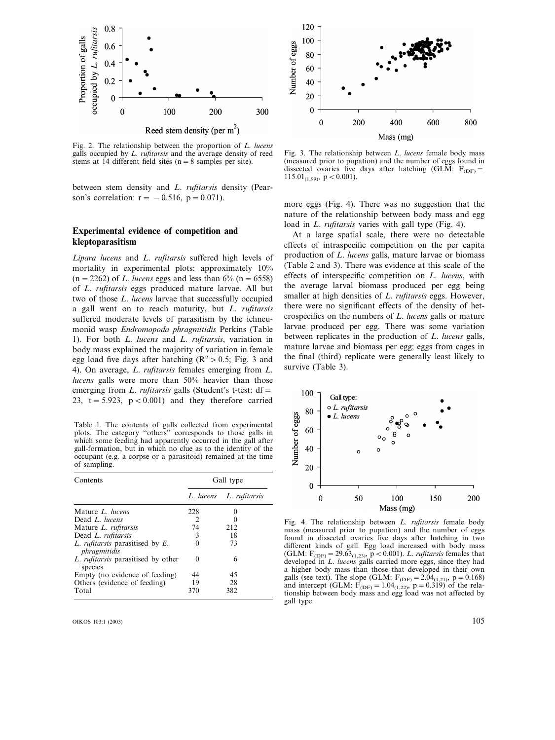

Fig. 2. The relationship between the proportion of *L*. *lucens* galls occupied by *L*. *rufitarsis* and the average density of reed stems at  $14$  different field sites ( $n=8$  samples per site).

between stem density and *L*. *rufitarsis* density (Pearson's correlation:  $r = -0.516$ ,  $p = 0.071$ ).

## **Experimental evidence of competition and kleptoparasitism**

*Lipara lucens* and *L*. *rufitarsis* suffered high levels of mortality in experimental plots: approximately 10%  $(n=2262)$  of *L. lucens* eggs and less than 6%  $(n=6558)$ of *L*. *rufitarsis* eggs produced mature larvae. All but two of those *L*. *lucens* larvae that successfully occupied a gall went on to reach maturity, but *L*. *rufitarsis* suffered moderate levels of parasitism by the ichneumonid wasp *Endromopoda phragmitidis* Perkins (Table 1). For both *L*. *lucens* and *L*. *rufitarsis*, variation in body mass explained the majority of variation in female egg load five days after hatching ( $\mathbb{R}^2 > 0.5$ ; Fig. 3 and 4). On average, *L*. *rufitarsis* females emerging from *L*. *lucens* galls were more than 50% heavier than those emerging from *L. rufitarsis* galls (Student's t-test: df = 23,  $t = 5.923$ ,  $p < 0.001$ ) and they therefore carried

Table 1. The contents of galls collected from experimental plots. The category ''others'' corresponds to those galls in which some feeding had apparently occurred in the gall after gall-formation, but in which no clue as to the identity of the occupant (e.g. a corpse or a parasitoid) remained at the time of sampling.

| Contents                                             | Gall type |                         |  |  |  |
|------------------------------------------------------|-----------|-------------------------|--|--|--|
|                                                      |           | L. lucens L. rufitarsis |  |  |  |
| Mature L. lucens                                     | 228       |                         |  |  |  |
| Dead L. lucens                                       | 2         |                         |  |  |  |
| Mature L. rufitarsis                                 | 74        | 212                     |  |  |  |
| Dead L. rufitarsis                                   | 3         | 18                      |  |  |  |
| L. rufitarsis parasitised by E.<br>phragmitidis      |           | 73                      |  |  |  |
| L. <i>rufitarsis</i> parasitised by other<br>species | $\theta$  | 6                       |  |  |  |
| Empty (no evidence of feeding)                       | 44        | 45                      |  |  |  |
| Others (evidence of feeding)                         | 19        | 28                      |  |  |  |
| Total                                                | 370       | 382                     |  |  |  |

OIKOS 103:1 (2003) 105



Fig. 3. The relationship between *L*. *lucens* female body mass (measured prior to pupation) and the number of eggs found in dissected ovaries five days after hatching (GLM:  $F_{(DE)} =$ 115.01<sub>(1,99)</sub>,  $p < 0.001$ ).

more eggs (Fig. 4). There was no suggestion that the nature of the relationship between body mass and egg load in *L*. *rufitarsis* varies with gall type (Fig. 4).

At a large spatial scale, there were no detectable effects of intraspecific competition on the per capita production of *L*. *lucens* galls, mature larvae or biomass (Table 2 and 3). There was evidence at this scale of the effects of interspecific competition on *L*. *lucens*, with the average larval biomass produced per egg being smaller at high densities of *L*. *rufitarsis* eggs. However, there were no significant effects of the density of heterospecifics on the numbers of *L*. *lucens* galls or mature larvae produced per egg. There was some variation between replicates in the production of *L*. *lucens* galls, mature larvae and biomass per egg; eggs from cages in the final (third) replicate were generally least likely to survive (Table 3).



Fig. 4. The relationship between *L*. *rufitarsis* female body mass (measured prior to pupation) and the number of eggs found in dissected ovaries five days after hatching in two different kinds of gall. Egg load increased with body mass (GLM:  $F_{(DF)} = 29.63_{(1,23)}$ ,  $p < 0.001$ ). *L. rufitarsis* females that developed in *L*. *lucens* galls carried more eggs, since they had a higher body mass than those that developed in their own galls (see text). The slope (GLM:  $F_{(DF)} = 2.04_{(1,21)}$ , p = 0.168) and intercept (GLM:  $F_{(DF)} = 1.04_{(1,22)}$ ,  $p = 0.319$ ) of the relationship between body mass and egg load was not affected by gall type.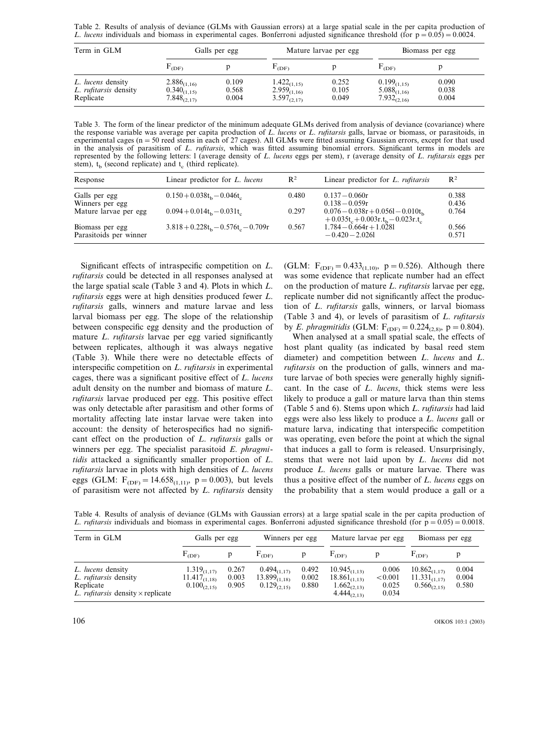Table 2. Results of analysis of deviance (GLMs with Gaussian errors) at a large spatial scale in the per capita production of *L. <i>lucens* individuals and biomass in experimental cages. Bonferroni adjusted significance threshold (for  $p=0.05$ ) $=0.0024$ .

| Term in GLM                                             | Galls per egg                                            |                         |                                                          | Mature larvae per egg   | Biomass per egg                                          |                         |
|---------------------------------------------------------|----------------------------------------------------------|-------------------------|----------------------------------------------------------|-------------------------|----------------------------------------------------------|-------------------------|
|                                                         | $E_{\text{CDF}}$                                         |                         | $\mathbf{r}_{\text{(DF)}}$                               |                         | DF)                                                      |                         |
| L. lucens density<br>L. rufitarsis density<br>Replicate | $2.886_{(1,16)}$<br>$0.340_{(1,15)}$<br>$7.848_{(2,17)}$ | 0.109<br>0.568<br>0.004 | $1.422_{(1,15)}$<br>$2.959_{(1,16)}$<br>$3.597_{(2,17)}$ | 0.252<br>0.105<br>0.049 | $0.199_{(1,15)}$<br>$5.088_{(1,16)}$<br>$7.932_{(2,16)}$ | 0.090<br>0.038<br>0.004 |

Table 3. The form of the linear predictor of the minimum adequate GLMs derived from analysis of deviance (covariance) where the response variable was average per capita production of *L*. *lucens* or *L*. *rufitarsis* galls, larvae or biomass, or parasitoids, in experimental cages ( $n=50$  reed stems in each of 27 cages). All GLMs were fitted assuming Gaussian errors, except for that used in the analysis of parasitism of *L*. *rufitarsis*, which was fitted assuming binomial errors. Significant terms in models are represented by the following letters: l (average density of *L*. *lucens* eggs per stem), r (average density of *L*. *rufitarsis* eggs per stem),  $t<sub>b</sub>$  (second replicate) and  $t<sub>c</sub>$  (third replicate).

| Response                                  | Linear predictor for L. lucens         | $\mathbb{R}^2$ | Linear predictor for L. rufitarsis                                      | $R^2$          |
|-------------------------------------------|----------------------------------------|----------------|-------------------------------------------------------------------------|----------------|
| Galls per egg<br>Winners per egg          | $0.150 + 0.038tb - 0.046tc$            | 0.480          | $0.137 - 0.060r$<br>$0.138 - 0.059r$                                    | 0.388<br>0.436 |
| Mature larvae per egg                     | $0.094 + 0.014t_b - 0.031t_c$          | 0.297          | $0.076 - 0.038r + 0.0561 - 0.010t$<br>$+0.035t_c+0.003r.t_b-0.023r.t_c$ | 0.764          |
| Biomass per egg<br>Parasitoids per winner | $3.818 + 0.228t_b - 0.576t_c - 0.709r$ | 0.567          | $1.784 - 0.664r + 1.0281$<br>$-0.420 - 2.0261$                          | 0.566<br>0.571 |

Significant effects of intraspecific competition on *L*. *rufitarsis* could be detected in all responses analysed at the large spatial scale (Table 3 and 4). Plots in which *L*. *rufitarsis* eggs were at high densities produced fewer *L*. *rufitarsis* galls, winners and mature larvae and less larval biomass per egg. The slope of the relationship between conspecific egg density and the production of mature *L*. *rufitarsis* larvae per egg varied significantly between replicates, although it was always negative (Table 3). While there were no detectable effects of interspecific competition on *L*. *rufitarsis* in experimental cages, there was a significant positive effect of *L*. *lucens* adult density on the number and biomass of mature *L*. *rufitarsis* larvae produced per egg. This positive effect was only detectable after parasitism and other forms of mortality affecting late instar larvae were taken into account: the density of heterospecifics had no significant effect on the production of *L*. *rufitarsis* galls or winners per egg. The specialist parasitoid *E*. *phragmitidis* attacked a significantly smaller proportion of *L*. *rufitarsis* larvae in plots with high densities of *L*. *lucens* eggs (GLM:  $F_{\text{DEF}} = 14.658_{(1,11)}$ , p = 0.003), but levels of parasitism were not affected by *L*. *rufitarsis* density (GLM:  $F_{(DF)}=0.433_{(1,10)}$ , p = 0.526). Although there was some evidence that replicate number had an effect on the production of mature *L*. *rufitarsis* larvae per egg, replicate number did not significantly affect the production of *L*. *rufitarsis* galls, winners, or larval biomass (Table 3 and 4), or levels of parasitism of *L*. *rufitarsis* by *E. phragmitidis* (GLM:  $F_{(DF)} = 0.224_{(2,8)}$ , p = 0.804).

When analysed at a small spatial scale, the effects of host plant quality (as indicated by basal reed stem diameter) and competition between *L*. *lucens* and *L*. *rufitarsis* on the production of galls, winners and mature larvae of both species were generally highly significant. In the case of *L*. *lucens*, thick stems were less likely to produce a gall or mature larva than thin stems (Table 5 and 6). Stems upon which *L*. *rufitarsis* had laid eggs were also less likely to produce a *L*. *lucens* gall or mature larva, indicating that interspecific competition was operating, even before the point at which the signal that induces a gall to form is released. Unsurprisingly, stems that were not laid upon by *L*. *lucens* did not produce *L*. *lucens* galls or mature larvae. There was thus a positive effect of the number of *L*. *lucens* eggs on the probability that a stem would produce a gall or a

Table 4. Results of analysis of deviance (GLMs with Gaussian errors) at a large spatial scale in the per capita production of *L. <i>rufitarsis* individuals and biomass in experimental cages. Bonferroni adjusted significance threshold (for  $p = 0.05$ ) = 0.0018.

| Term in GLM                                                                                                | Galls per egg                                             |                         | Winners per egg                                           |                         | Mature larvae per egg                                                          |                                    | Biomass per egg                                            |                         |
|------------------------------------------------------------------------------------------------------------|-----------------------------------------------------------|-------------------------|-----------------------------------------------------------|-------------------------|--------------------------------------------------------------------------------|------------------------------------|------------------------------------------------------------|-------------------------|
|                                                                                                            | $F_{\text{CDF}}$                                          |                         | $F_{\text{CDF}}$                                          |                         | $F_{\text{(DF)}}$                                                              |                                    | $F_{\text{IDF}}$                                           |                         |
| L. lucens density<br>L. rufitarsis density<br>Replicate<br>L. <i>rufitarsis</i> density $\times$ replicate | $1.319_{(1.17)}$<br>$11.417_{(1.18)}$<br>$0.100_{(2.15)}$ | 0.267<br>0.003<br>0.905 | $0.494_{(1,17)}$<br>$13.899_{(1,18)}$<br>$0.129_{(2.15)}$ | 0.492<br>0.002<br>0.880 | $10.945_{(1,13)}$<br>$18.861_{(1,13)}$<br>$1.662_{(2,13)}$<br>$4.444_{(2,13)}$ | 0.006<br>< 0.001<br>0.025<br>0.034 | $10.862_{(1.17)}$<br>$11.331_{(1.17)}$<br>$0.566_{(2.15)}$ | 0.004<br>0.004<br>0.580 |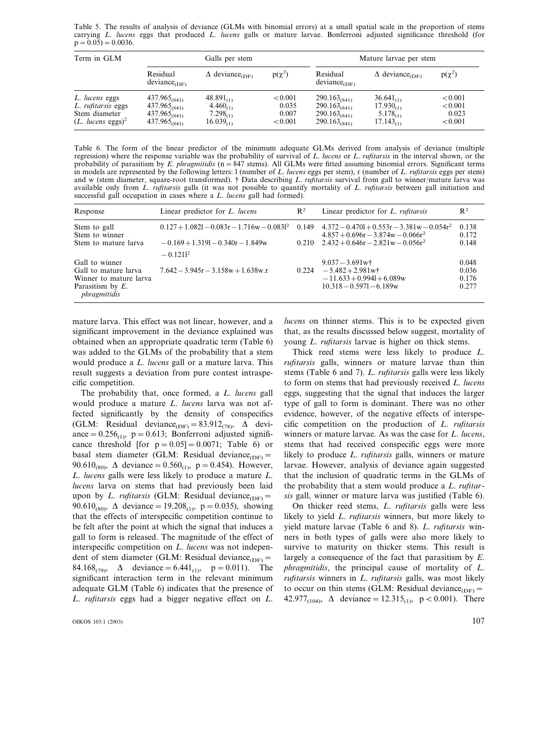Table 5. The results of analysis of deviance (GLMs with binomial errors) at a small spatial scale in the proportion of stems carrying *L*. *lucens* eggs that produced *L*. *lucens* galls or mature larvae. Bonferroni adjusted significance threshold (for  $p = 0.05$ ) = 0.0036.

| Term in GLM                                                                              |                                                                                  | Galls per stem                                                     |                                      | Mature larvae per stem                                                           |                                                                     |                                        |
|------------------------------------------------------------------------------------------|----------------------------------------------------------------------------------|--------------------------------------------------------------------|--------------------------------------|----------------------------------------------------------------------------------|---------------------------------------------------------------------|----------------------------------------|
|                                                                                          | Residual<br>$deviance$ <sub>(DF)</sub>                                           | $\Delta$ deviance <sub>(DF)</sub>                                  | $p(\chi^2)$                          | Residual<br>$deviance$ <sub>(DF)</sub>                                           | $\Delta$ deviance <sub>(DF)</sub>                                   | $p(\chi^2)$                            |
| L. lucens eggs<br>L. rufitarsis eggs<br>Stem diameter<br>$(L.$ lucens eggs) <sup>2</sup> | $437.965_{(841)}$<br>$437.965_{(841)}$<br>$437.965_{(841)}$<br>$437.965_{(841)}$ | $48.891_{(1)}$<br>$4.460_{(1)}$<br>$7.298_{(1)}$<br>$16.039_{(1)}$ | < 0.001<br>0.035<br>0.007<br>< 0.001 | $290.163_{(841)}$<br>$290.163_{(841)}$<br>$290.163_{(841)}$<br>$290.163_{(841)}$ | $36.641_{(1)}$<br>$17.930_{(1)}$<br>$5.178_{(1)}$<br>$17.143_{(1)}$ | < 0.001<br>< 0.001<br>0.023<br>< 0.001 |

Table 6. The form of the linear predictor of the minimum adequate GLMs derived from analysis of deviance (multiple regression) where the response variable was the probability of survival of *L*. *lucens* or *L*. *rufitarsis* in the interval shown, or the probability of parasitism by *E*. *phragmitidis* (n=847 stems). All GLMs were fitted assuming binomial errors. Significant terms in models are represented by the following letters: l (number of *L*. *lucens* eggs per stem), r (number of *L*. *rufitarsis* eggs per stem) and w (stem diameter, square-root transformed). † Data describing *L*. *rufitarsis* survival from gall to winner/mature larva was available only from *L*. *rufitarsis* galls (it was not possible to quantify mortality of *L*. *rufitarsis* between gall initiation and successful gall occupation in cases where a *L*. *lucens* gall had formed).

| Response                                                                                                | Linear predictor for <i>L. lucens</i>                | $R^2$ | Linear predictor for <i>L. rufitarsis</i>                                                              | $R^2$                            |
|---------------------------------------------------------------------------------------------------------|------------------------------------------------------|-------|--------------------------------------------------------------------------------------------------------|----------------------------------|
| Stem to gall<br>Stem to winner                                                                          | $0.127 + 1.0821 - 0.083r - 1.716w - 0.0831^2$        |       | $0.149$ $4.372 - 0.4701 + 0.553r - 3.381w - 0.054r^2$<br>$4.857 + 0.696r - 3.874w - 0.066r^2$          | 0.138<br>0.172                   |
| Stem to mature larva                                                                                    | $-0.169 + 1.3191 - 0.340r - 1.849w$<br>$-0.1211^{2}$ |       | $0.210$ $2.432 + 0.646r - 2.821w - 0.056r^2$                                                           | 0.148                            |
| Gall to winner<br>Gall to mature larva<br>Winner to mature larva<br>Parasitism by $E$ .<br>phragmitidis | $7.642 - 3.945r - 3.158w + 1.638w.r$                 | 0.224 | $9.037 - 3.691$ w†<br>$-5.482 + 2.981$ wt<br>$-11.633 + 0.9941 + 6.089w$<br>$10.318 - 0.5971 - 6.189w$ | 0.048<br>0.036<br>0.176<br>0.277 |

mature larva. This effect was not linear, however, and a significant improvement in the deviance explained was obtained when an appropriate quadratic term (Table 6) was added to the GLMs of the probability that a stem would produce a *L*. *lucens* gall or a mature larva. This result suggests a deviation from pure contest intraspecific competition.

The probability that, once formed, a *L*. *lucens* gall would produce a mature *L*. *lucens* larva was not affected significantly by the density of conspecifics (GLM: Residual deviance<sub>(DF)</sub> = 83.912<sub>(78)</sub>,  $\Delta$  deviance =  $0.256<sub>(1)</sub>$ , p = 0.613; Bonferroni adjusted significance threshold [for  $p = 0.05$ ] = 0.0071; Table 6) or basal stem diameter (GLM: Residual deviance<sub>(DF)</sub>= 90.610<sub>(80)</sub>,  $\Delta$  deviance = 0.560<sub>(1)</sub>, p = 0.454). However, *L*. *lucens* galls were less likely to produce a mature *L*. *lucens* larva on stems that had previously been laid upon by *L. rufitarsis* (GLM: Residual deviance<sub>(DF)</sub> = 90.610<sub>(80)</sub>,  $\Delta$  deviance = 19.208<sub>(1)</sub>, p = 0.035), showing that the effects of interspecific competition continue to be felt after the point at which the signal that induces a gall to form is released. The magnitude of the effect of interspecific competition on *L*. *lucens* was not independent of stem diameter (GLM: Residual deviance<sub>(DF)</sub>= 84.168<sub>(79)</sub>,  $\Delta$  deviance = 6.441<sub>(1)</sub>, p = 0.011). The significant interaction term in the relevant minimum adequate GLM (Table 6) indicates that the presence of *L*. *rufitarsis* eggs had a bigger negative effect on *L*.

OIKOS 103:1 (2003)  $107$ 

*lucens* on thinner stems. This is to be expected given that, as the results discussed below suggest, mortality of young *L*. *rufitarsis* larvae is higher on thick stems.

Thick reed stems were less likely to produce *L*. *rufitarsis* galls, winners or mature larvae than thin stems (Table 6 and 7). *L*. *rufitarsis* galls were less likely to form on stems that had previously received *L*. *lucens* eggs, suggesting that the signal that induces the larger type of gall to form is dominant. There was no other evidence, however, of the negative effects of interspecific competition on the production of *L*. *rufitarsis* winners or mature larvae. As was the case for *L*. *lucens*, stems that had received conspecific eggs were more likely to produce *L*. *rufitarsis* galls, winners or mature larvae. However, analysis of deviance again suggested that the inclusion of quadratic terms in the GLMs of the probability that a stem would produce a *L*. *rufitarsis* gall, winner or mature larva was justified (Table 6).

On thicker reed stems, *L*. *rufitarsis* galls were less likely to yield *L*. *rufitarsis* winners, but more likely to yield mature larvae (Table 6 and 8). *L*. *rufitarsis* winners in both types of galls were also more likely to survive to maturity on thicker stems. This result is largely a consequence of the fact that parasitism by *E*. *phragmitidis*, the principal cause of mortality of *L*. *rufitarsis* winners in *L*. *rufitarsis* galls, was most likely to occur on thin stems (GLM: Residual deviance<sub>(DF)</sub>= 42.977<sub>(104)</sub>,  $\Delta$  deviance = 12.315<sub>(1)</sub>, p < 0.001). There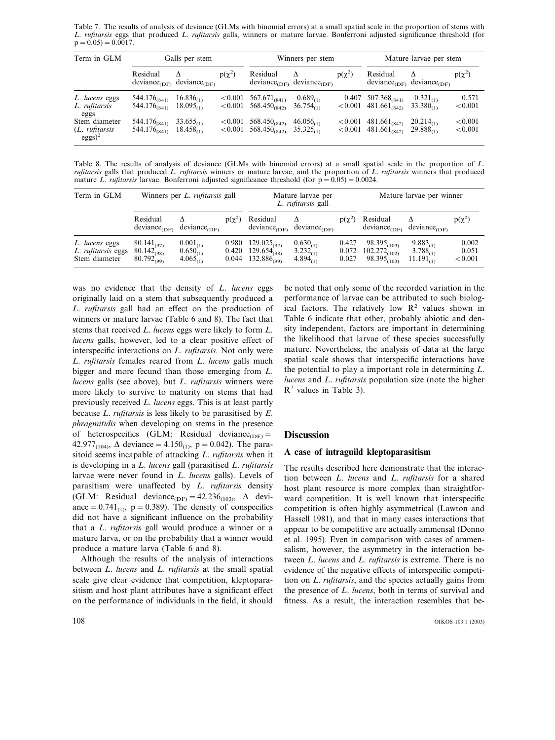Table 7. The results of analysis of deviance (GLMs with binomial errors) at a small spatial scale in the proportion of stems with *L*. *rufitarsis* eggs that produced *L*. *rufitarsis* galls, winners or mature larvae. Bonferroni adjusted significance threshold (for  $p = 0.05$ ) =  $0.\overline{0017}$ .

| Term in GLM                                  | Galls per stem                                |                                         |             | Winners per stem                                                         |                                                                |             | Mature larvae per stem                                  |                                         |                    |
|----------------------------------------------|-----------------------------------------------|-----------------------------------------|-------------|--------------------------------------------------------------------------|----------------------------------------------------------------|-------------|---------------------------------------------------------|-----------------------------------------|--------------------|
|                                              | Residual<br>$deviance$ <sub>(DF)</sub>        | $\Lambda$<br>$deviance$ <sub>(DF)</sub> | $p(\chi^2)$ | Residual                                                                 | $\Lambda$<br>deviance <sub>(DF)</sub> deviance <sub>(DF)</sub> | $p(\chi^2)$ | Residual<br>$deviance$ <sub>(DF)</sub>                  | $\Lambda$<br>$deviance$ <sub>(DF)</sub> | $p(\chi^2)$        |
| L. lucens eggs<br>L. rufitarsis<br>eggs      | 544.176 <sub>(841)</sub><br>$544.176_{(841)}$ | $16.836_{(1)}$<br>18.095 <sub>CD</sub>  |             | $< 0.001$ 567.671 <sub>(841)</sub><br>$< 0.001$ 568.450 <sub>(842)</sub> | $0.689_{(1)}$<br>$36.754_{\odot}$                              | 0.407       | $507.368_{(841)}$<br>$< 0.001$ 481.661 <sub>(842)</sub> | $0.321_{(1)}$<br>$33.380_{\odot}$       | 0.571<br>< 0.001   |
| Stem diameter<br>(L. rufitarsis<br>$eggs)^2$ | 544.176 <sub>(841)</sub><br>$544.176_{(841)}$ | $33.655_{(1)}$<br>$18.458_{\odot}$      | < 0.001     | 568.450 <sub>(842)</sub><br>$< 0.001$ 568.450 <sub>(842)</sub>           | $46.056_{(1)}$<br>$35.325_{(1)}$                               | ${<}0.001$  | $481.661_{(842)}$<br>$< 0.001$ 481.661 <sub>(842)</sub> | $20.214_{\odot}$<br>$29.888_{\odot}$    | < 0.001<br>< 0.001 |

Table 8. The results of analysis of deviance (GLMs with binomial errors) at a small spatial scale in the proportion of *L*. *rufitarsis* galls that produced *L*. *rufitarsis* winners or mature larvae, and the proportion of *L*. *rufitarsis* winners that produced mature *L. rufitarsis* larvae. Bonferroni adjusted significance threshold (for  $p = 0.05$ ) = 0.0024.

| Term in GLM                                           | Winners per <i>L. rufitarsis</i> gall                 |                                                 |                         | Mature larvae per<br>L. rufitarsis gall                  |                                                 |                         | Mature larvae per winner                                  |                                                    |                           |
|-------------------------------------------------------|-------------------------------------------------------|-------------------------------------------------|-------------------------|----------------------------------------------------------|-------------------------------------------------|-------------------------|-----------------------------------------------------------|----------------------------------------------------|---------------------------|
|                                                       | Residual<br>$deviance$ <sub>(DF)</sub>                | $deviance_{\text{(DE)}}$                        | $p(\gamma^2)$           | Residual<br>$deviance$ <sub>(DF)</sub>                   | $deviance$ <sub>(DF)</sub>                      | $p(\chi^2)$             | Residual<br>$deviance$ <sub>(DF)</sub>                    | $deviance$ <sub>(DF)</sub>                         | $p(\chi^2)$               |
| L. lucens eggs<br>L. rufitarsis eggs<br>Stem diameter | $80.141_{(97)}$<br>$80.142_{(98)}$<br>$80.792_{(99)}$ | $0.001_{(1)}$<br>$0.650_{(1)}$<br>$4.065_{(1)}$ | 0.980<br>0.420<br>0.044 | $129.025_{(97)}$<br>$129.654_{(98)}$<br>$132.886_{(99)}$ | $0.630_{(1)}$<br>$3.232_{(1)}$<br>$4.894_{(1)}$ | 0.427<br>0.072<br>0.027 | $98.395_{(103)}$<br>$102.272_{(102)}$<br>$98.395_{(103)}$ | $9.883_{(1)}$<br>$3.788_{(1)}$<br>$11.191_{\odot}$ | 0.002<br>0.051<br>< 0.001 |

was no evidence that the density of *L*. *lucens* eggs originally laid on a stem that subsequently produced a *L*. *rufitarsis* gall had an effect on the production of winners or mature larvae (Table 6 and 8). The fact that stems that received *L*. *lucens* eggs were likely to form *L*. *lucens* galls, however, led to a clear positive effect of interspecific interactions on *L*. *rufitarsis*. Not only were *L*. *rufitarsis* females reared from *L*. *lucens* galls much bigger and more fecund than those emerging from *L*. *lucens* galls (see above), but *L*. *rufitarsis* winners were more likely to survive to maturity on stems that had previously received *L*. *lucens* eggs. This is at least partly because *L*. *rufitarsis* is less likely to be parasitised by *E*. *phragmitidis* when developing on stems in the presence of heterospecifics (GLM: Residual deviance<sub>(DF)</sub>= 42.977<sub>(104)</sub>,  $\Delta$  deviance = 4.150<sub>(1)</sub>, p = 0.042). The parasitoid seems incapable of attacking *L*. *rufitarsis* when it is developing in a *L*. *lucens* gall (parasitised *L*. *rufitarsis* larvae were never found in *L*. *lucens* galls). Levels of parasitism were unaffected by *L*. *rufitarsis* density (GLM: Residual deviance<sub>(DF)</sub> =  $42.236_{(103)}$ ,  $\Delta$  deviance =  $0.741_{(1)}$ , p = 0.389). The density of conspecifics did not have a significant influence on the probability that a *L*. *rufitarsis* gall would produce a winner or a mature larva, or on the probability that a winner would produce a mature larva (Table 6 and 8).

Although the results of the analysis of interactions between *L*. *lucens* and *L*. *rufitarsis* at the small spatial scale give clear evidence that competition, kleptoparasitism and host plant attributes have a significant effect on the performance of individuals in the field, it should

be noted that only some of the recorded variation in the performance of larvae can be attributed to such biological factors. The relatively low  $\mathbb{R}^2$  values shown in Table 6 indicate that other, probably abiotic and density independent, factors are important in determining the likelihood that larvae of these species successfully mature. Nevertheless, the analysis of data at the large spatial scale shows that interspecific interactions have the potential to play a important role in determining *L*. *lucens* and *L*. *rufitarsis* population size (note the higher  $R<sup>2</sup>$  values in Table 3).

## **Discussion**

## **A case of intraguild kleptoparasitism**

The results described here demonstrate that the interaction between *L*. *lucens* and *L*. *rufitarsis* for a shared host plant resource is more complex than straightforward competition. It is well known that interspecific competition is often highly asymmetrical (Lawton and Hassell 1981), and that in many cases interactions that appear to be competitive are actually ammensal (Denno et al. 1995). Even in comparison with cases of ammensalism, however, the asymmetry in the interaction between *L*. *lucens* and *L*. *rufitarsis* is extreme. There is no evidence of the negative effects of interspecific competition on *L*. *rufitarsis*, and the species actually gains from the presence of *L*. *lucens*, both in terms of survival and fitness. As a result, the interaction resembles that be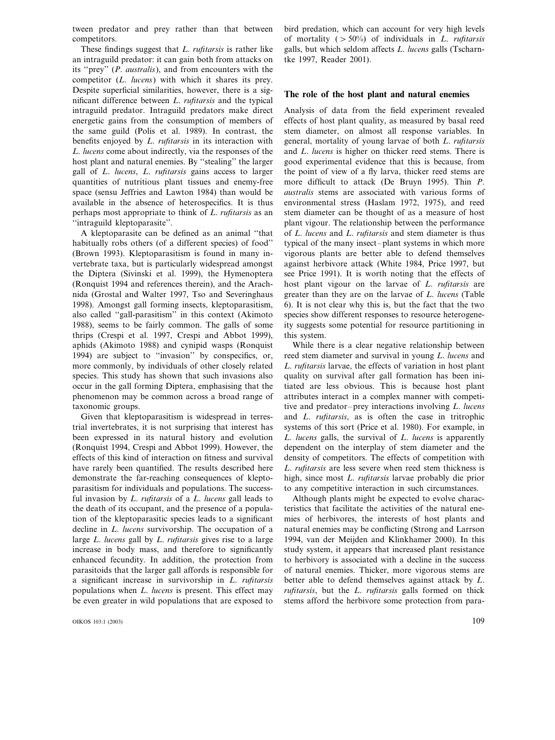tween predator and prey rather than that between competitors.

These findings suggest that *L*. *rufitarsis* is rather like an intraguild predator: it can gain both from attacks on its ''prey'' (*P*. *australis*), and from encounters with the competitor (*L*. *lucens*) with which it shares its prey. Despite superficial similarities, however, there is a significant difference between *L*. *rufitarsis* and the typical intraguild predator. Intraguild predators make direct energetic gains from the consumption of members of the same guild (Polis et al. 1989). In contrast, the benefits enjoyed by *L*. *rufitarsis* in its interaction with *L*. *lucens* come about indirectly, via the responses of the host plant and natural enemies. By ''stealing'' the larger gall of *L*. *lucens*, *L*. *rufitarsis* gains access to larger quantities of nutritious plant tissues and enemy-free space (sensu Jeffries and Lawton 1984) than would be available in the absence of heterospecifics. It is thus perhaps most appropriate to think of *L*. *rufitarsis* as an ''intraguild kleptoparasite''.

A kleptoparasite can be defined as an animal ''that habitually robs others (of a different species) of food'' (Brown 1993). Kleptoparasitism is found in many invertebrate taxa, but is particularly widespread amongst the Diptera (Sivinski et al. 1999), the Hymenoptera (Ronquist 1994 and references therein), and the Arachnida (Grostal and Walter 1997, Tso and Severinghaus 1998). Amongst gall forming insects, kleptoparasitism, also called ''gall-parasitism'' in this context (Akimoto 1988), seems to be fairly common. The galls of some thrips (Crespi et al. 1997, Crespi and Abbot 1999), aphids (Akimoto 1988) and cynipid wasps (Ronquist 1994) are subject to ''invasion'' by conspecifics, or, more commonly, by individuals of other closely related species. This study has shown that such invasions also occur in the gall forming Diptera, emphasising that the phenomenon may be common across a broad range of taxonomic groups.

Given that kleptoparasitism is widespread in terrestrial invertebrates, it is not surprising that interest has been expressed in its natural history and evolution (Ronquist 1994, Crespi and Abbot 1999). However, the effects of this kind of interaction on fitness and survival have rarely been quantified. The results described here demonstrate the far-reaching consequences of kleptoparasitism for individuals and populations. The successful invasion by *L*. *rufitarsis* of a *L*. *lucens* gall leads to the death of its occupant, and the presence of a population of the kleptoparasitic species leads to a significant decline in *L*. *lucens* survivorship. The occupation of a large *L*. *lucens* gall by *L*. *rufitarsis* gives rise to a large increase in body mass, and therefore to significantly enhanced fecundity. In addition, the protection from parasitoids that the larger gall affords is responsible for a significant increase in survivorship in *L*. *rufitarsis* populations when *L*. *lucens* is present. This effect may be even greater in wild populations that are exposed to bird predation, which can account for very high levels of mortality (-50%) of individuals in *L*. *rufitarsis* galls, but which seldom affects *L*. *lucens* galls (Tscharntke 1997, Reader 2001).

## **The role of the host plant and natural enemies**

Analysis of data from the field experiment revealed effects of host plant quality, as measured by basal reed stem diameter, on almost all response variables. In general, mortality of young larvae of both *L*. *rufitarsis* and *L*. *lucens* is higher on thicker reed stems. There is good experimental evidence that this is because, from the point of view of a fly larva, thicker reed stems are more difficult to attack (De Bruyn 1995). Thin *P*. *australis* stems are associated with various forms of environmental stress (Haslam 1972, 1975), and reed stem diameter can be thought of as a measure of host plant vigour. The relationship between the performance of *L*. *lucens* and *L*. *rufitarsis* and stem diameter is thus typical of the many insect–plant systems in which more vigorous plants are better able to defend themselves against herbivore attack (White 1984, Price 1997, but see Price 1991). It is worth noting that the effects of host plant vigour on the larvae of *L*. *rufitarsis* are greater than they are on the larvae of *L*. *lucens* (Table 6). It is not clear why this is, but the fact that the two species show different responses to resource heterogeneity suggests some potential for resource partitioning in this system.

While there is a clear negative relationship between reed stem diameter and survival in young *L*. *lucens* and *L*. *rufitarsis* larvae, the effects of variation in host plant quality on survival after gall formation has been initiated are less obvious. This is because host plant attributes interact in a complex manner with competitive and predator–prey interactions involving *L*. *lucens* and *L*. *rufitarsis*, as is often the case in tritrophic systems of this sort (Price et al. 1980). For example, in *L*. *lucens* galls, the survival of *L*. *lucens* is apparently dependent on the interplay of stem diameter and the density of competitors. The effects of competition with *L*. *rufitarsis* are less severe when reed stem thickness is high, since most *L*. *rufitarsis* larvae probably die prior to any competitive interaction in such circumstances.

Although plants might be expected to evolve characteristics that facilitate the activities of the natural enemies of herbivores, the interests of host plants and natural enemies may be conflicting (Strong and Larrson 1994, van der Meijden and Klinkhamer 2000). In this study system, it appears that increased plant resistance to herbivory is associated with a decline in the success of natural enemies. Thicker, more vigorous stems are better able to defend themselves against attack by *L*. *rufitarsis*, but the *L*. *rufitarsis* galls formed on thick stems afford the herbivore some protection from para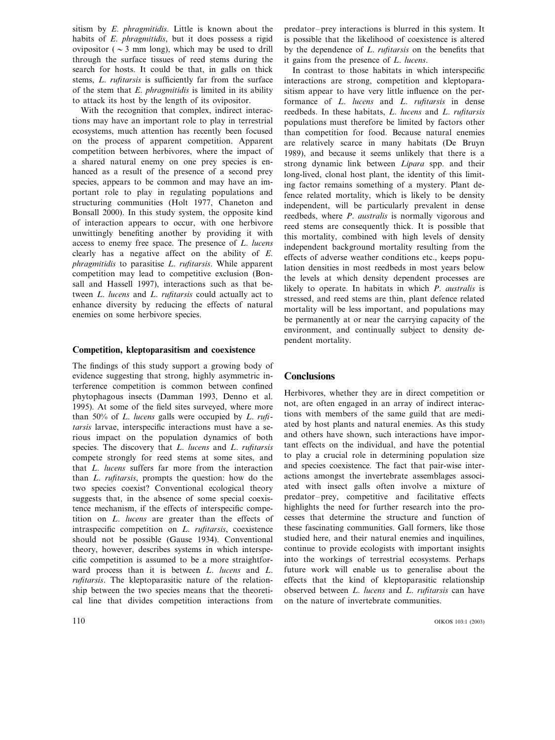sitism by *E*. *phragmitidis*. Little is known about the habits of *E*. *phragmitidis*, but it does possess a rigid ovipositor ( $\sim$  3 mm long), which may be used to drill through the surface tissues of reed stems during the search for hosts. It could be that, in galls on thick stems, *L*. *rufitarsis* is sufficiently far from the surface of the stem that *E*. *phragmitidis* is limited in its ability to attack its host by the length of its ovipositor.

With the recognition that complex, indirect interactions may have an important role to play in terrestrial ecosystems, much attention has recently been focused on the process of apparent competition. Apparent competition between herbivores, where the impact of a shared natural enemy on one prey species is enhanced as a result of the presence of a second prey species, appears to be common and may have an important role to play in regulating populations and structuring communities (Holt 1977, Chaneton and Bonsall 2000). In this study system, the opposite kind of interaction appears to occur, with one herbivore unwittingly benefiting another by providing it with access to enemy free space. The presence of *L*. *lucens* clearly has a negative affect on the ability of *E*. *phragmitidis* to parasitise *L*. *rufitarsis*. While apparent competition may lead to competitive exclusion (Bonsall and Hassell 1997), interactions such as that between *L*. *lucens* and *L*. *rufitarsis* could actually act to enhance diversity by reducing the effects of natural enemies on some herbivore species.

#### **Competition, kleptoparasitism and coexistence**

The findings of this study support a growing body of evidence suggesting that strong, highly asymmetric interference competition is common between confined phytophagous insects (Damman 1993, Denno et al. 1995). At some of the field sites surveyed, where more than 50% of *L*. *lucens* galls were occupied by *L*. *rufitarsis* larvae, interspecific interactions must have a serious impact on the population dynamics of both species. The discovery that *L*. *lucens* and *L*. *rufitarsis* compete strongly for reed stems at some sites, and that *L*. *lucens* suffers far more from the interaction than *L*. *rufitarsis*, prompts the question: how do the two species coexist? Conventional ecological theory suggests that, in the absence of some special coexistence mechanism, if the effects of interspecific competition on *L*. *lucens* are greater than the effects of intraspecific competition on *L*. *rufitarsis*, coexistence should not be possible (Gause 1934). Conventional theory, however, describes systems in which interspecific competition is assumed to be a more straightforward process than it is between *L*. *lucens* and *L*. *rufitarsis*. The kleptoparasitic nature of the relationship between the two species means that the theoretical line that divides competition interactions from

predator–prey interactions is blurred in this system. It is possible that the likelihood of coexistence is altered by the dependence of *L*. *rufitarsis* on the benefits that it gains from the presence of *L*. *lucens*.

In contrast to those habitats in which interspecific interactions are strong, competition and kleptoparasitism appear to have very little influence on the performance of *L*. *lucens* and *L*. *rufitarsis* in dense reedbeds. In these habitats, *L*. *lucens* and *L*. *rufitarsis* populations must therefore be limited by factors other than competition for food. Because natural enemies are relatively scarce in many habitats (De Bruyn 1989), and because it seems unlikely that there is a strong dynamic link between *Lipara* spp. and their long-lived, clonal host plant, the identity of this limiting factor remains something of a mystery. Plant defence related mortality, which is likely to be density independent, will be particularly prevalent in dense reedbeds, where *P*. *australis* is normally vigorous and reed stems are consequently thick. It is possible that this mortality, combined with high levels of density independent background mortality resulting from the effects of adverse weather conditions etc., keeps population densities in most reedbeds in most years below the levels at which density dependent processes are likely to operate. In habitats in which *P*. *australis* is stressed, and reed stems are thin, plant defence related mortality will be less important, and populations may be permanently at or near the carrying capacity of the environment, and continually subject to density dependent mortality.

## **Conclusions**

Herbivores, whether they are in direct competition or not, are often engaged in an array of indirect interactions with members of the same guild that are mediated by host plants and natural enemies. As this study and others have shown, such interactions have important effects on the individual, and have the potential to play a crucial role in determining population size and species coexistence. The fact that pair-wise interactions amongst the invertebrate assemblages associated with insect galls often involve a mixture of predator–prey, competitive and facilitative effects highlights the need for further research into the processes that determine the structure and function of these fascinating communities. Gall formers, like those studied here, and their natural enemies and inquilines, continue to provide ecologists with important insights into the workings of terrestrial ecosystems. Perhaps future work will enable us to generalise about the effects that the kind of kleptoparasitic relationship observed between *L*. *lucens* and *L*. *rufitarsis* can have on the nature of invertebrate communities.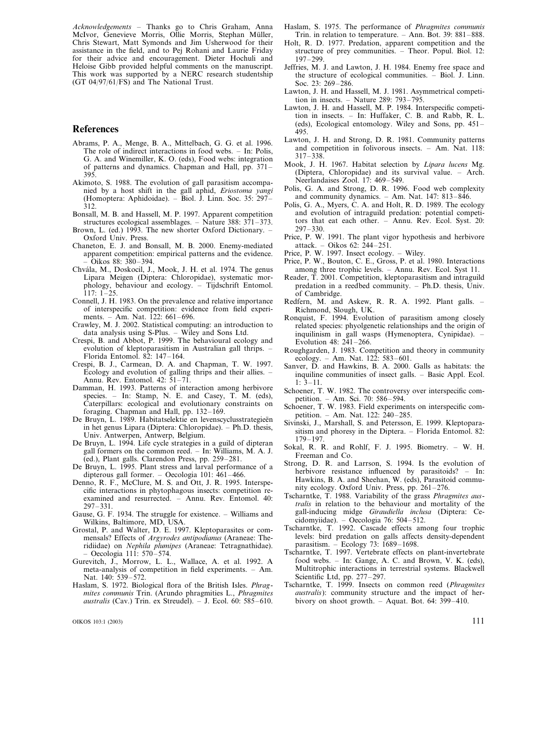*Acknowledgements* – Thanks go to Chris Graham, Anna McIvor, Genevieve Morris, Ollie Morris, Stephan Müller, Chris Stewart, Matt Symonds and Jim Usherwood for their assistance in the field, and to Pej Rohani and Laurie Friday for their advice and encouragement. Dieter Hochuli and Heloise Gibb provided helpful comments on the manuscript. This work was supported by a NERC research studentship (GT 04/97/61/FS) and The National Trust.

## **References**

- Abrams, P. A., Menge, B. A., Mittelbach, G. G. et al. 1996. The role of indirect interactions in food webs. – In: Polis, G. A. and Winemiller, K. O. (eds), Food webs: integration of patterns and dynamics. Chapman and Hall, pp. 371– 395.
- Akimoto, S. 1988. The evolution of gall parasitism accompanied by a host shift in the gall aphid, *Eriostoma yangi* (Homoptera: Aphidoidae). – Biol. J. Linn. Soc. 35: 297– 312.
- Bonsall, M. B. and Hassell, M. P. 1997. Apparent competition structures ecological assemblages. – Nature 388:  $371-373$ .
- Brown, L. (ed.) 1993. The new shorter Oxford Dictionary. Oxford Univ. Press.
- Chaneton, E. J. and Bonsall, M. B. 2000. Enemy-mediated apparent competition: empirical patterns and the evidence. – Oikos 88: 380–394.
- Chva´la, M., Doskocil, J., Mook, J. H. et al. 1974. The genus Lipara Meigen (Diptera: Chloropidae), systematic morphology, behaviour and ecology. – Tijdschrift Entomol.  $117: 1-25.$
- Connell, J. H. 1983. On the prevalence and relative importance of interspecific competition: evidence from field experiments. – Am. Nat. 122: 661–696.
- Crawley, M. J. 2002. Statistical computing: an introduction to data analysis using S-Plus. – Wiley and Sons Ltd.
- Crespi, B. and Abbot, P. 1999. The behavioural ecology and evolution of kleptoparasitism in Australian gall thrips. – Florida Entomol. 82: 147–164.
- Crespi, B. J., Carmean, D. A. and Chapman, T. W. 1997. Ecology and evolution of galling thrips and their allies. – Annu. Rev. Entomol. 42: 51–71.
- Damman, H. 1993. Patterns of interaction among herbivore species. - In: Stamp, N. E. and Casey, T. M. (eds), Caterpillars: ecological and evolutionary constraints on foraging. Chapman and Hall, pp. 132–169.
- De Bruyn, L. 1989. Habitatselektie en levenscyclusstrategieën in het genus Lipara (Diptera: Chloropidae). – Ph.D. thesis, Univ. Antwerpen, Antwerp, Belgium.
- De Bruyn, L. 1994. Life cycle strategies in a guild of dipteran gall formers on the common reed. – In: Williams, M. A. J. (ed.), Plant galls. Clarendon Press, pp. 259–281.
- De Bruyn, L. 1995. Plant stress and larval performance of a dipterous gall former. – Oecologia 101: 461–466.
- Denno, R. F., McClure, M. S. and Ott, J. R. 1995. Interspecific interactions in phytophagous insects: competition reexamined and resurrected. – Annu. Rev. Entomol. 40: 297–331.
- Gause, G. F. 1934. The struggle for existence. Williams and Wilkins, Baltimore, MD, USA.
- Grostal, P. and Walter, D. E. 1997. Kleptoparasites or commensals? Effects of *Argyrodes antipodianus* (Araneae: Theridiidae) on *Nephila plumipes* (Araneae: Tetragnathidae). – Oecologia 111: 570–574.
- Gurevitch, J., Morrow, L. L., Wallace, A. et al. 1992. A meta-analysis of competition in field experiments. – Am. Nat. 140: 539–572.
- Haslam, S. 1972. Biological flora of the British Isles. *Phragmites communis* Trin. (Arundo phragmities L., *Phragmites australis* (Cav.) Trin. ex Streudel). – J. Ecol. 60: 585–610.

OIKOS 103:1 (2003) 111

- Haslam, S. 1975. The performance of *Phragmites communis* Trin. in relation to temperature. – Ann. Bot. 39: 881–888.
- Holt, R. D. 1977. Predation, apparent competition and the structure of prey communities. – Theor. Popul. Biol. 12: 197–299.
- Jeffries, M. J. and Lawton, J. H. 1984. Enemy free space and the structure of ecological communities. – Biol. J. Linn. Soc. 23: 269–286.
- Lawton, J. H. and Hassell, M. J. 1981. Asymmetrical competition in insects. – Nature 289: 793–795.
- Lawton, J. H. and Hassell, M. P. 1984. Interspecific competition in insects. – In: Huffaker, C. B. and Rabb, R. L. (eds), Ecological entomology. Wiley and Sons, pp. 451– 495.
- Lawton, J. H. and Strong, D. R. 1981. Community patterns and competition in folivorous insects. – Am. Nat. 118: 317–338.
- Mook, J. H. 1967. Habitat selection by *Lipara lucens* Mg. (Diptera, Chloropidae) and its survival value. – Arch. Neerlandaises Zool. 17: 469–549.
- Polis, G. A. and Strong, D. R. 1996. Food web complexity and community dynamics. – Am. Nat. 147: 813–846.
- Polis, G. A., Myers, C. A. and Holt, R. D. 1989. The ecology and evolution of intraguild predation: potential competitors that eat each other. – Annu. Rev. Ecol. Syst. 20: 297–330.
- Price, P. W. 1991. The plant vigor hypothesis and herbivore attack. – Oikos 62: 244–251.
- Price, P. W. 1997. Insect ecology. Wiley.
- Price, P. W., Bouton, C. E., Gross, P. et al. 1980. Interactions among three trophic levels. – Annu. Rev. Ecol. Syst 11.
- Reader, T. 2001. Competition, kleptoparasitism and intraguild predation in a reedbed community. – Ph.D. thesis, Univ. of Cambridge.
- Redfern, M. and Askew, R. R. A. 1992. Plant galls. Richmond, Slough, UK.
- Ronquist, F. 1994. Evolution of parasitism among closely related species: phyolgenetic relationships and the origin of inquilinism in gall wasps (Hymenoptera, Cynipidae). – Evolution 48: 241–266.
- Roughgarden, J. 1983. Competition and theory in community ecology. – Am. Nat. 122:  $583-601$ .
- Sanver, D. and Hawkins, B. A. 2000. Galls as habitats: the inquiline communities of insect galls. – Basic Appl. Ecol. 1: 3–11.
- Schoener, T. W. 1982. The controversy over interspecific competition. – Am. Sci. 70: 586–594.
- Schoener, T. W. 1983. Field experiments on interspecific competition. – Am. Nat. 122: 240–285.
- Sivinski, J., Marshall, S. and Petersson, E. 1999. Kleptoparasitism and phoresy in the Diptera. – Florida Entomol. 82: 179–197.
- Sokal, R. R. and Rohlf, F. J. 1995. Biometry. W. H. Freeman and Co.
- Strong, D. R. and Larrson, S. 1994. Is the evolution of herbivore resistance influenced by parasitoids? – In: Hawkins, B. A. and Sheehan, W. (eds), Parasitoid community ecology. Oxford Univ. Press, pp. 261–276.
- Tscharntke, T. 1988. Variability of the grass *Phragmites australis* in relation to the behaviour and mortality of the gall-inducing midge *Giraudiella inclusa* (Diptera: Cecidomyiidae). – Oecologia 76: 504–512.
- Tscharntke, T. 1992. Cascade effects among four trophic levels: bird predation on galls affects density-dependent parasitism. – Ecology 73: 1689–1698.
- Tscharntke, T. 1997. Vertebrate effects on plant-invertebrate food webs. - In: Gange, A. C. and Brown, V. K. (eds), Multitrophic interactions in terrestrial systems. Blackwell Scientific Ltd, pp. 277–297.
- Tscharntke, T. 1999. Insects on common reed (*Phragmites australis*): community structure and the impact of herbivory on shoot growth. – Aquat. Bot. 64: 399–410.